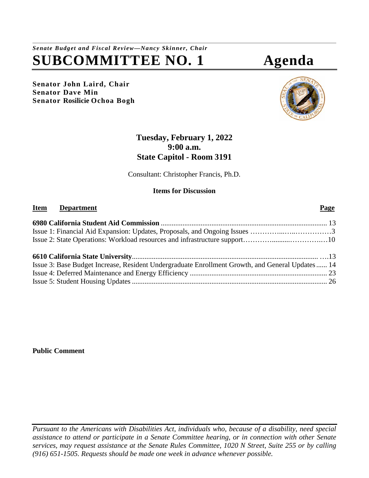*Senate Budget and Fiscal Review—Nancy Skinner, Chair* **SUBCOMMITTEE NO. 1 Agenda**

**Senator John Laird, Chair Senator Dave Min Senator Rosilicie Ochoa Bogh**

# **Tuesday, February 1, 2022 9:00 a.m. State Capitol - Room 3191**

Consultant: Christopher Francis, Ph.D.

## **Items for Discussion**

# **Item Department Page 6980 California Student Aid Commission** [............................................................................................](#page-12-0) [13](#page-12-0) Issue 1: Financial Aid Expansion: Updates, Proposals, and Ongoing Issues …………...…..……………3 Issue 2: State Operations: Workload resources and infrastructure support…………..........………….…10 **6610 California State University**[.......................................................................................................](#page-12-0) ….13 [Issue 3: Base Budget Increase, Resident Undergraduate Enrollment Growth, and General Updates......](#page-13-0) 14 Issue 4: Deferred Maintenance and Energy Efficiency [............................................................................](#page-22-0) 23 Issue 5: Student Housing Updates [............................................................................................................](#page-22-0) 26

**Public Comment**

*Pursuant to the Americans with Disabilities Act, individuals who, because of a disability, need special assistance to attend or participate in a Senate Committee hearing, or in connection with other Senate services, may request assistance at the Senate Rules Committee, 1020 N Street, Suite 255 or by calling (916) 651-1505. Requests should be made one week in advance whenever possible.*

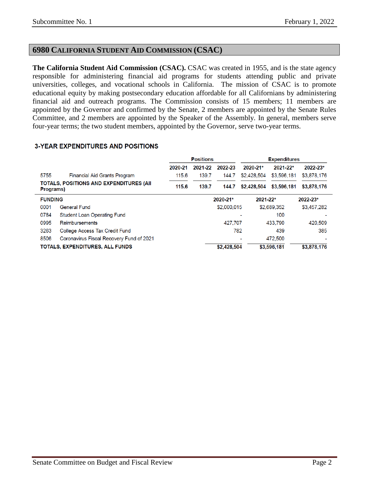## **6980 CALIFORNIA STUDENT AID COMMISSION (CSAC)**

**The California Student Aid Commission (CSAC).** CSAC was created in 1955, and is the state agency responsible for administering financial aid programs for students attending public and private universities, colleges, and vocational schools in California. The mission of CSAC is to promote educational equity by making postsecondary education affordable for all Californians by administering financial aid and outreach programs. The Commission consists of 15 members; 11 members are appointed by the Governor and confirmed by the Senate, 2 members are appointed by the Senate Rules Committee, and 2 members are appointed by the Speaker of the Assembly. In general, members serve four-year terms; the two student members, appointed by the Governor, serve two-year terms.

|                                                       |                                          | <b>Positions</b> |         |             | <b>Expenditures</b> |             |             |  |
|-------------------------------------------------------|------------------------------------------|------------------|---------|-------------|---------------------|-------------|-------------|--|
|                                                       |                                          | 2020-21          | 2021-22 | 2022-23     | 2020-21*            | 2021-22*    | 2022-23*    |  |
| 5755                                                  | <b>Financial Aid Grants Program</b>      | 115.6            | 139.7   | 144.7       | \$2,428,504         | \$3,596,181 | \$3,878,176 |  |
| TOTALS, POSITIONS AND EXPENDITURES (AII)<br>Programs) |                                          | 115.6            | 139.7   | 144.7       | \$2,428,504         | \$3,596,181 | \$3,878,176 |  |
| <b>FUNDING</b>                                        |                                          |                  |         | 2020-21*    | $2021 - 22*$        |             | 2022-23*    |  |
| 0001                                                  | <b>General Fund</b>                      |                  |         | \$2,000,015 |                     | \$2,689,352 | \$3,457,282 |  |
| 0784                                                  | <b>Student Loan Operating Fund</b>       |                  |         |             |                     | 100         |             |  |
| 0995                                                  | Reimbursements                           |                  |         | 427.707     |                     | 433,790     | 420,509     |  |
| 3263                                                  | College Access Tax Credit Fund           |                  |         |             | 782                 | 439         | 385         |  |
| 8506                                                  | Coronavirus Fiscal Recovery Fund of 2021 |                  |         |             |                     | 472,500     |             |  |
|                                                       | <b>TOTALS, EXPENDITURES, ALL FUNDS</b>   |                  |         | \$2.428.504 |                     | \$3,596,181 | \$3,878,176 |  |

#### **3-YEAR EXPENDITURES AND POSITIONS**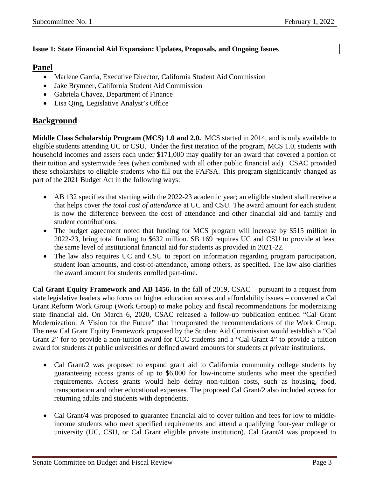#### **Issue 1: State Financial Aid Expansion: Updates, Proposals, and Ongoing Issues**

## **Panel**

- Marlene Garcia, Executive Director, California Student Aid Commission
- Jake Brymner, California Student Aid Commission
- Gabriela Chavez, Department of Finance
- Lisa Oing, Legislative Analyst's Office

## **Background**

**Middle Class Scholarship Program (MCS) 1.0 and 2.0.** MCS started in 2014, and is only available to eligible students attending UC or CSU.Under the first iteration of the program, MCS 1.0, students with household incomes and assets each under \$171,000 may qualify for an award that covered a portion of their tuition and systemwide fees (when combined with all other public financial aid). CSAC provided these scholarships to eligible students who fill out the FAFSA. This program significantly changed as part of the 2021 Budget Act in the following ways:

- AB 132 specifies that starting with the 2022-23 academic year; an eligible student shall receive a that helps cover *the total cost of attendance* at UC and CSU*.* The award amount for each student is now the difference between the cost of attendance and other financial aid and family and student contributions.
- The budget agreement noted that funding for MCS program will increase by \$515 million in 2022-23, bring total funding to \$632 million. SB 169 requires UC and CSU to provide at least the same level of institutional financial aid for students as provided in 2021-22.
- The law also requires UC and CSU to report on information regarding program participation, student loan amounts, and cost-of-attendance, among others, as specified. The law also clarifies the award amount for students enrolled part-time.

**Cal Grant Equity Framework and AB 1456.** In the fall of 2019, CSAC – pursuant to a request from state legislative leaders who focus on higher education access and affordability issues – convened a Cal Grant Reform Work Group (Work Group) to make policy and fiscal recommendations for modernizing state financial aid. On March 6, 2020, CSAC released a follow-up publication entitled "Cal Grant Modernization: A Vision for the Future" that incorporated the recommendations of the Work Group. The new Cal Grant Equity Framework proposed by the Student Aid Commission would establish a "Cal Grant 2" for to provide a non-tuition award for CCC students and a "Cal Grant 4" to provide a tuition award for students at public universities or defined award amounts for students at private institutions.

- Cal Grant/2 was proposed to expand grant aid to California community college students by guaranteeing access grants of up to \$6,000 for low-income students who meet the specified requirements. Access grants would help defray non-tuition costs, such as housing, food, transportation and other educational expenses. The proposed Cal Grant/2 also included access for returning adults and students with dependents.
- Cal Grant/4 was proposed to guarantee financial aid to cover tuition and fees for low to middleincome students who meet specified requirements and attend a qualifying four-year college or university (UC, CSU, or Cal Grant eligible private institution). Cal Grant/4 was proposed to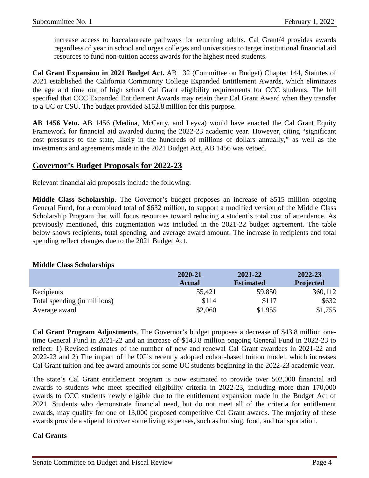increase access to baccalaureate pathways for returning adults. Cal Grant/4 provides awards regardless of year in school and urges colleges and universities to target institutional financial aid resources to fund non-tuition access awards for the highest need students.

**Cal Grant Expansion in 2021 Budget Act.** AB 132 (Committee on Budget) Chapter 144, Statutes of 2021 established the California Community College Expanded Entitlement Awards, which eliminates the age and time out of high school Cal Grant eligibility requirements for CCC students. The bill specified that CCC Expanded Entitlement Awards may retain their Cal Grant Award when they transfer to a UC or CSU. The budget provided \$152.8 million for this purpose.

**AB 1456 Veto.** AB 1456 (Medina, McCarty, and Leyva) would have enacted the Cal Grant Equity Framework for financial aid awarded during the 2022-23 academic year. However, citing "significant cost pressures to the state, likely in the hundreds of millions of dollars annually," as well as the investments and agreements made in the 2021 Budget Act, AB 1456 was vetoed.

## **Governor's Budget Proposals for 2022-23**

Relevant financial aid proposals include the following:

**Middle Class Scholarship**. The Governor's budget proposes an increase of \$515 million ongoing General Fund, for a combined total of \$632 million, to support a modified version of the Middle Class Scholarship Program that will focus resources toward reducing a student's total cost of attendance. As previously mentioned, this augmentation was included in the 2021-22 budget agreement. The table below shows recipients, total spending, and average award amount. The increase in recipients and total spending reflect changes due to the 2021 Budget Act.

#### **Middle Class Scholarships**

|                              | 2020-21       | 2021-22          | 2022-23          |
|------------------------------|---------------|------------------|------------------|
|                              | <b>Actual</b> | <b>Estimated</b> | <b>Projected</b> |
| Recipients                   | 55,421        | 59,850           | 360,112          |
| Total spending (in millions) | \$114         | \$117            | \$632            |
| Average award                | \$2,060       | \$1,955          | \$1,755          |

**Cal Grant Program Adjustments**. The Governor's budget proposes a decrease of \$43.8 million onetime General Fund in 2021-22 and an increase of \$143.8 million ongoing General Fund in 2022-23 to reflect: 1) Revised estimates of the number of new and renewal Cal Grant awardees in 2021-22 and 2022-23 and 2) The impact of the UC's recently adopted cohort-based tuition model, which increases Cal Grant tuition and fee award amounts for some UC students beginning in the 2022-23 academic year.

The state's Cal Grant entitlement program is now estimated to provide over 502,000 financial aid awards to students who meet specified eligibility criteria in 2022-23, including more than 170,000 awards to CCC students newly eligible due to the entitlement expansion made in the Budget Act of 2021. Students who demonstrate financial need, but do not meet all of the criteria for entitlement awards, may qualify for one of 13,000 proposed competitive Cal Grant awards. The majority of these awards provide a stipend to cover some living expenses, such as housing, food, and transportation.

#### **Cal Grants**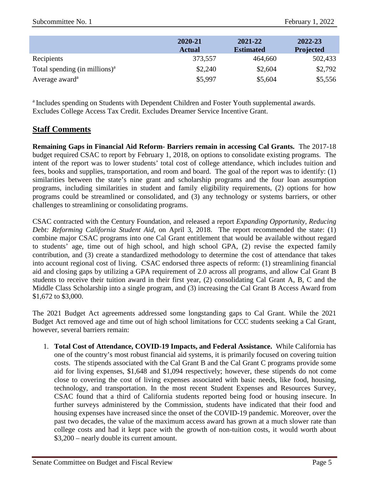|                                          | 2020-21<br><b>Actual</b> | 2021-22<br><b>Estimated</b> | 2022-23<br><b>Projected</b> |
|------------------------------------------|--------------------------|-----------------------------|-----------------------------|
| Recipients                               | 373,557                  | 464,660                     | 502,433                     |
| Total spending $(in \text{ millions})^a$ | \$2,240                  | \$2,604                     | \$2,792                     |
| Average award <sup>a</sup>               | \$5,997                  | \$5,604                     | \$5,556                     |

<sup>a</sup> Includes spending on Students with Dependent Children and Foster Youth supplemental awards. Excludes College Access Tax Credit. Excludes Dreamer Service Incentive Grant.

## **Staff Comments**

**Remaining Gaps in Financial Aid Reform- Barriers remain in accessing Cal Grants.** The 2017-18 budget required CSAC to report by February 1, 2018, on options to consolidate existing programs. The intent of the report was to lower students' total cost of college attendance, which includes tuition and fees, books and supplies, transportation, and room and board. The goal of the report was to identify: (1) similarities between the state's nine grant and scholarship programs and the four loan assumption programs, including similarities in student and family eligibility requirements, (2) options for how programs could be streamlined or consolidated, and (3) any technology or systems barriers, or other challenges to streamlining or consolidating programs.

CSAC contracted with the Century Foundation, and released a report *Expanding Opportunity, Reducing Debt: Reforming California Student Aid*, on April 3, 2018. The report recommended the state: (1) combine major CSAC programs into one Cal Grant entitlement that would be available without regard to students' age, time out of high school, and high school GPA, (2) revise the expected family contribution, and (3) create a standardized methodology to determine the cost of attendance that takes into account regional cost of living. CSAC endorsed three aspects of reform: (1) streamlining financial aid and closing gaps by utilizing a GPA requirement of 2.0 across all programs, and allow Cal Grant B students to receive their tuition award in their first year, (2) consolidating Cal Grant A, B, C and the Middle Class Scholarship into a single program, and (3) increasing the Cal Grant B Access Award from \$1,672 to \$3,000.

The 2021 Budget Act agreements addressed some longstanding gaps to Cal Grant. While the 2021 Budget Act removed age and time out of high school limitations for CCC students seeking a Cal Grant, however, several barriers remain:

1. **Total Cost of Attendance, COVID-19 Impacts, and Federal Assistance.** While California has one of the country's most robust financial aid systems, it is primarily focused on covering tuition costs. The stipends associated with the Cal Grant B and the Cal Grant C programs provide some aid for living expenses, \$1,648 and \$1,094 respectively; however, these stipends do not come close to covering the cost of living expenses associated with basic needs, like food, housing, technology, and transportation. In the most recent Student Expenses and Resources Survey, CSAC found that a third of California students reported being food or housing insecure. In further surveys administered by the Commission, students have indicated that their food and housing expenses have increased since the onset of the COVID-19 pandemic. Moreover, over the past two decades, the value of the maximum access award has grown at a much slower rate than college costs and had it kept pace with the growth of non-tuition costs, it would worth about \$3,200 – nearly double its current amount.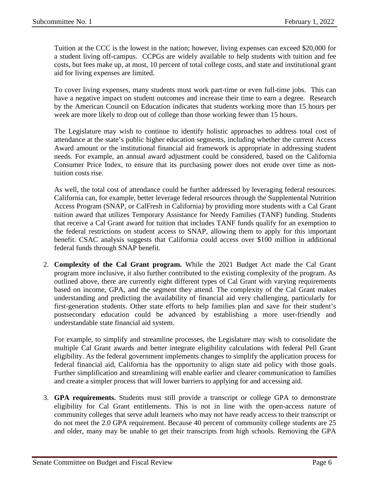Tuition at the CCC is the lowest in the nation; however, living expenses can exceed \$20,000 for a student living off-campus. CCPGs are widely available to help students with tuition and fee costs, but fees make up, at most, 10 percent of total college costs, and state and institutional grant aid for living expenses are limited.

To cover living expenses, many students must work part-time or even full-time jobs. This can have a negative impact on student outcomes and increase their time to earn a degree. Research by the American Council on Education indicates that students working more than 15 hours per week are more likely to drop out of college than those working fewer than 15 hours.

The Legislature may wish to continue to identify holistic approaches to address total cost of attendance at the state's public higher education segments, including whether the current Access Award amount or the institutional financial aid framework is appropriate in addressing student needs. For example, an annual award adjustment could be considered, based on the California Consumer Price Index, to ensure that its purchasing power does not erode over time as nontuition costs rise.

As well, the total cost of attendance could be further addressed by leveraging federal resources. California can, for example, better leverage federal resources through the Supplemental Nutrition Access Program (SNAP, or CalFresh in California) by providing more students with a Cal Grant tuition award that utilizes Temporary Assistance for Needy Families (TANF) funding. Students that receive a Cal Grant award for tuition that includes TANF funds qualify for an exemption to the federal restrictions on student access to SNAP, allowing them to apply for this important benefit. CSAC analysis suggests that California could access over \$100 million in additional federal funds through SNAP benefit.

2. **Complexity of the Cal Grant program.** While the 2021 Budget Act made the Cal Grant program more inclusive, it also further contributed to the existing complexity of the program. As outlined above, there are currently eight different types of Cal Grant with varying requirements based on income, GPA, and the segment they attend. The complexity of the Cal Grant makes understanding and predicting the availability of financial aid very challenging, particularly for first-generation students. Other state efforts to help families plan and save for their student's postsecondary education could be advanced by establishing a more user-friendly and understandable state financial aid system.

For example, to simplify and streamline processes, the Legislature may wish to consolidate the multiple Cal Grant awards and better integrate eligibility calculations with federal Pell Grant eligibility. As the federal government implements changes to simplify the application process for federal financial aid, California has the opportunity to align state aid policy with those goals. Further simplification and streamlining will enable earlier and clearer communication to families and create a simpler process that will lower barriers to applying for and accessing aid.

3. **GPA requirements.** Students must still provide a transcript or college GPA to demonstrate eligibility for Cal Grant entitlements. This is not in line with the open-access nature of community colleges that serve adult learners who may not have ready access to their transcript or do not meet the 2.0 GPA requirement. Because 40 percent of community college students are 25 and older, many may be unable to get their transcripts from high schools. Removing the GPA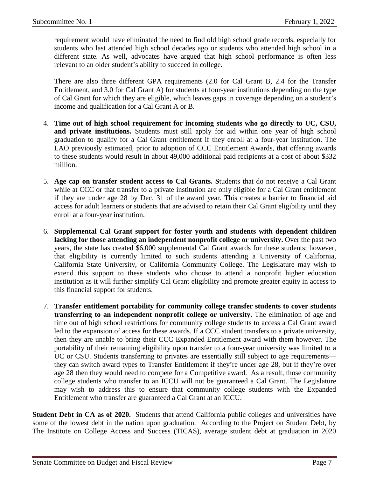requirement would have eliminated the need to find old high school grade records, especially for students who last attended high school decades ago or students who attended high school in a different state. As well, advocates have argued that high school performance is often less relevant to an older student's ability to succeed in college.

There are also three different GPA requirements (2.0 for Cal Grant B, 2.4 for the Transfer Entitlement, and 3.0 for Cal Grant A) for students at four-year institutions depending on the type of Cal Grant for which they are eligible, which leaves gaps in coverage depending on a student's income and qualification for a Cal Grant A or B.

- 4. **Time out of high school requirement for incoming students who go directly to UC, CSU, and private institutions.** Students must still apply for aid within one year of high school graduation to qualify for a Cal Grant entitlement if they enroll at a four-year institution. The LAO previously estimated, prior to adoption of CCC Entitlement Awards, that offering awards to these students would result in about 49,000 additional paid recipients at a cost of about \$332 million.
- 5. **Age cap on transfer student access to Cal Grants. S**tudents that do not receive a Cal Grant while at CCC or that transfer to a private institution are only eligible for a Cal Grant entitlement if they are under age 28 by Dec. 31 of the award year. This creates a barrier to financial aid access for adult learners or students that are advised to retain their Cal Grant eligibility until they enroll at a four-year institution.
- 6. **Supplemental Cal Grant support for foster youth and students with dependent children**  lacking for those attending an independent nonprofit college or university. Over the past two years, the state has created \$6,000 supplemental Cal Grant awards for these students; however, that eligibility is currently limited to such students attending a University of California, California State University, or California Community College. The Legislature may wish to extend this support to these students who choose to attend a nonprofit higher education institution as it will further simplify Cal Grant eligibility and promote greater equity in access to this financial support for students.
- 7. **Transfer entitlement portability for community college transfer students to cover students transferring to an independent nonprofit college or university.** The elimination of age and time out of high school restrictions for community college students to access a Cal Grant award led to the expansion of access for these awards. If a CCC student transfers to a private university, then they are unable to bring their CCC Expanded Entitlement award with them however. The portability of their remaining eligibility upon transfer to a four-year university was limited to a UC or CSU. Students transferring to privates are essentially still subject to age requirements they can switch award types to Transfer Entitlement if they're under age 28, but if they're over age 28 then they would need to compete for a Competitive award. As a result, those community college students who transfer to an ICCU will not be guaranteed a Cal Grant. The Legislature may wish to address this to ensure that community college students with the Expanded Entitlement who transfer are guaranteed a Cal Grant at an ICCU.

**Student Debt in CA as of 2020.** Students that attend California public colleges and universities have some of the lowest debt in the nation upon graduation. According to the Project on Student Debt, by The Institute on College Access and Success (TICAS), average student debt at graduation in 2020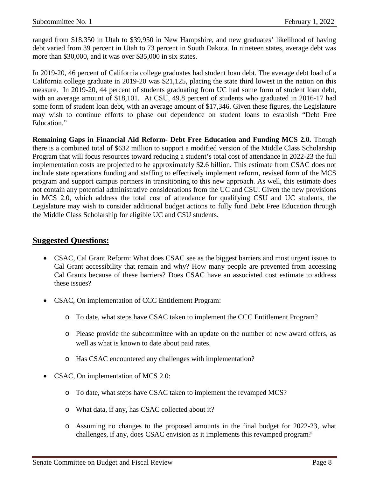ranged from \$18,350 in Utah to \$39,950 in New Hampshire, and new graduates' likelihood of having debt varied from 39 percent in Utah to 73 percent in South Dakota. In nineteen states, average debt was more than \$30,000, and it was over \$35,000 in six states.

In 2019-20, 46 percent of California college graduates had student loan debt. The average debt load of a California college graduate in 2019-20 was \$21,125, placing the state third lowest in the nation on this measure. In 2019-20, 44 percent of students graduating from UC had some form of student loan debt, with an average amount of \$18,101. At CSU, 49.8 percent of students who graduated in 2016-17 had some form of student loan debt, with an average amount of \$17,346. Given these figures, the Legislature may wish to continue efforts to phase out dependence on student loans to establish "Debt Free Education."

**Remaining Gaps in Financial Aid Reform- Debt Free Education and Funding MCS 2.0.** Though there is a combined total of \$632 million to support a modified version of the Middle Class Scholarship Program that will focus resources toward reducing a student's total cost of attendance in 2022-23 the full implementation costs are projected to be approximately \$2.6 billion. This estimate from CSAC does not include state operations funding and staffing to effectively implement reform, revised form of the MCS program and support campus partners in transitioning to this new approach. As well, this estimate does not contain any potential administrative considerations from the UC and CSU. Given the new provisions in MCS 2.0, which address the total cost of attendance for qualifying CSU and UC students, the Legislature may wish to consider additional budget actions to fully fund Debt Free Education through the Middle Class Scholarship for eligible UC and CSU students.

## **Suggested Questions:**

- CSAC, Cal Grant Reform: What does CSAC see as the biggest barriers and most urgent issues to Cal Grant accessibility that remain and why? How many people are prevented from accessing Cal Grants because of these barriers? Does CSAC have an associated cost estimate to address these issues?
- CSAC, On implementation of CCC Entitlement Program:
	- o To date, what steps have CSAC taken to implement the CCC Entitlement Program?
	- o Please provide the subcommittee with an update on the number of new award offers, as well as what is known to date about paid rates.
	- o Has CSAC encountered any challenges with implementation?
- CSAC, On implementation of MCS 2.0:
	- o To date, what steps have CSAC taken to implement the revamped MCS?
	- o What data, if any, has CSAC collected about it?
	- o Assuming no changes to the proposed amounts in the final budget for 2022-23, what challenges, if any, does CSAC envision as it implements this revamped program?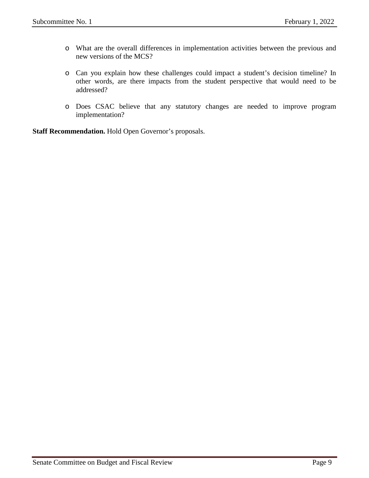- o What are the overall differences in implementation activities between the previous and new versions of the MCS?
- o Can you explain how these challenges could impact a student's decision timeline? In other words, are there impacts from the student perspective that would need to be addressed?
- o Does CSAC believe that any statutory changes are needed to improve program implementation?

**Staff Recommendation.** Hold Open Governor's proposals.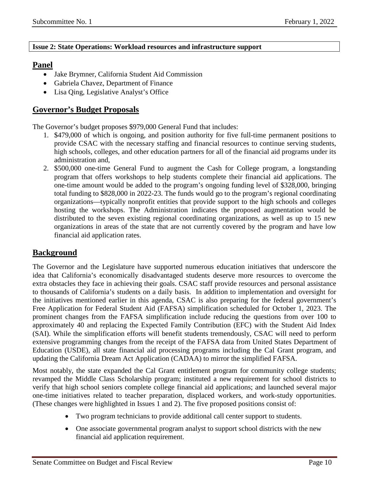#### **Issue 2: State Operations: Workload resources and infrastructure support**

## **Panel**

- Jake Brymner, California Student Aid Commission
- Gabriela Chavez, Department of Finance
- Lisa Qing, Legislative Analyst's Office

## **Governor's Budget Proposals**

The Governor's budget proposes \$979,000 General Fund that includes:

- 1. \$479,000 of which is ongoing, and position authority for five full-time permanent positions to provide CSAC with the necessary staffing and financial resources to continue serving students, high schools, colleges, and other education partners for all of the financial aid programs under its administration and,
- 2. \$500,000 one-time General Fund to augment the Cash for College program, a longstanding program that offers workshops to help students complete their financial aid applications. The one-time amount would be added to the program's ongoing funding level of \$328,000, bringing total funding to \$828,000 in 2022-23. The funds would go to the program's regional coordinating organizations—typically nonprofit entities that provide support to the high schools and colleges hosting the workshops. The Administration indicates the proposed augmentation would be distributed to the seven existing regional coordinating organizations, as well as up to 15 new organizations in areas of the state that are not currently covered by the program and have low financial aid application rates.

## **Background**

The Governor and the Legislature have supported numerous education initiatives that underscore the idea that California's economically disadvantaged students deserve more resources to overcome the extra obstacles they face in achieving their goals. CSAC staff provide resources and personal assistance to thousands of California's students on a daily basis. In addition to implementation and oversight for the initiatives mentioned earlier in this agenda, CSAC is also preparing for the federal government's Free Application for Federal Student Aid (FAFSA) simplification scheduled for October 1, 2023. The prominent changes from the FAFSA simplification include reducing the questions from over 100 to approximately 40 and replacing the Expected Family Contribution (EFC) with the Student Aid Index (SAI). While the simplification efforts will benefit students tremendously, CSAC will need to perform extensive programming changes from the receipt of the FAFSA data from United States Department of Education (USDE), all state financial aid processing programs including the Cal Grant program, and updating the California Dream Act Application (CADAA) to mirror the simplified FAFSA.

Most notably, the state expanded the Cal Grant entitlement program for community college students; revamped the Middle Class Scholarship program; instituted a new requirement for school districts to verify that high school seniors complete college financial aid applications; and launched several major one-time initiatives related to teacher preparation, displaced workers, and work-study opportunities. (These changes were highlighted in Issues 1 and 2). The five proposed positions consist of:

- Two program technicians to provide additional call center support to students.
- One associate governmental program analyst to support school districts with the new financial aid application requirement.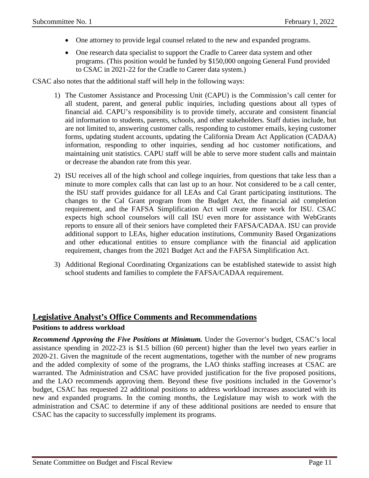- One attorney to provide legal counsel related to the new and expanded programs.
- One research data specialist to support the Cradle to Career data system and other programs. (This position would be funded by \$150,000 ongoing General Fund provided to CSAC in 2021-22 for the Cradle to Career data system.)

CSAC also notes that the additional staff will help in the following ways:

- 1) The Customer Assistance and Processing Unit (CAPU) is the Commission's call center for all student, parent, and general public inquiries, including questions about all types of financial aid. CAPU's responsibility is to provide timely, accurate and consistent financial aid information to students, parents, schools, and other stakeholders. Staff duties include, but are not limited to, answering customer calls, responding to customer emails, keying customer forms, updating student accounts, updating the California Dream Act Application (CADAA) information, responding to other inquiries, sending ad hoc customer notifications, and maintaining unit statistics. CAPU staff will be able to serve more student calls and maintain or decrease the abandon rate from this year.
- 2) ISU receives all of the high school and college inquiries, from questions that take less than a minute to more complex calls that can last up to an hour. Not considered to be a call center, the ISU staff provides guidance for all LEAs and Cal Grant participating institutions. The changes to the Cal Grant program from the Budget Act, the financial aid completion requirement, and the FAFSA Simplification Act will create more work for ISU. CSAC expects high school counselors will call ISU even more for assistance with WebGrants reports to ensure all of their seniors have completed their FAFSA/CADAA. ISU can provide additional support to LEAs, higher education institutions, Community Based Organizations and other educational entities to ensure compliance with the financial aid application requirement, changes from the 2021 Budget Act and the FAFSA Simplification Act.
- 3) Additional Regional Coordinating Organizations can be established statewide to assist high school students and families to complete the FAFSA/CADAA requirement.

### **Legislative Analyst's Office Comments and Recommendations**

#### **Positions to address workload**

*Recommend Approving the Five Positions at Minimum.* Under the Governor's budget, CSAC's local assistance spending in 2022-23 is \$1.5 billion (60 percent) higher than the level two years earlier in 2020-21. Given the magnitude of the recent augmentations, together with the number of new programs and the added complexity of some of the programs, the LAO thinks staffing increases at CSAC are warranted. The Administration and CSAC have provided justification for the five proposed positions, and the LAO recommends approving them. Beyond these five positions included in the Governor's budget, CSAC has requested 22 additional positions to address workload increases associated with its new and expanded programs. In the coming months, the Legislature may wish to work with the administration and CSAC to determine if any of these additional positions are needed to ensure that CSAC has the capacity to successfully implement its programs.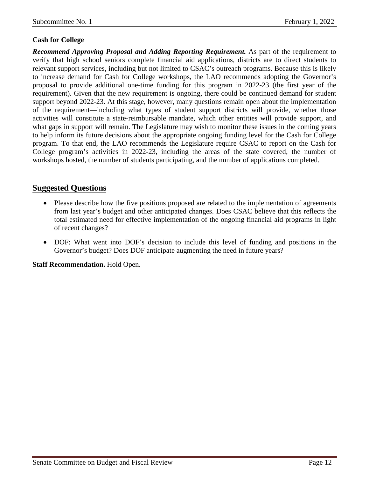### **Cash for College**

*Recommend Approving Proposal and Adding Reporting Requirement.* As part of the requirement to verify that high school seniors complete financial aid applications, districts are to direct students to relevant support services, including but not limited to CSAC's outreach programs. Because this is likely to increase demand for Cash for College workshops, the LAO recommends adopting the Governor's proposal to provide additional one-time funding for this program in 2022-23 (the first year of the requirement). Given that the new requirement is ongoing, there could be continued demand for student support beyond 2022-23. At this stage, however, many questions remain open about the implementation of the requirement—including what types of student support districts will provide, whether those activities will constitute a state-reimbursable mandate, which other entities will provide support, and what gaps in support will remain. The Legislature may wish to monitor these issues in the coming years to help inform its future decisions about the appropriate ongoing funding level for the Cash for College program. To that end, the LAO recommends the Legislature require CSAC to report on the Cash for College program's activities in 2022-23, including the areas of the state covered, the number of workshops hosted, the number of students participating, and the number of applications completed.

## **Suggested Questions**

- Please describe how the five positions proposed are related to the implementation of agreements from last year's budget and other anticipated changes. Does CSAC believe that this reflects the total estimated need for effective implementation of the ongoing financial aid programs in light of recent changes?
- DOF: What went into DOF's decision to include this level of funding and positions in the Governor's budget? Does DOF anticipate augmenting the need in future years?

**Staff Recommendation.** Hold Open.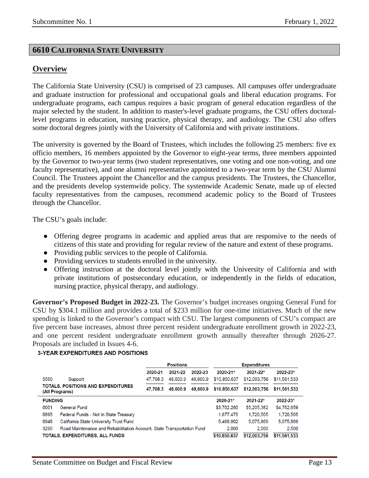## <span id="page-12-0"></span>**6610 CALIFORNIA STATE UNIVERSITY**

## **Overview**

The California State University (CSU) is comprised of 23 campuses. All campuses offer undergraduate and graduate instruction for professional and occupational goals and liberal education programs. For undergraduate programs, each campus requires a basic program of general education regardless of the major selected by the student. In addition to master's-level graduate programs, the CSU offers doctorallevel programs in education, nursing practice, physical therapy, and audiology. The CSU also offers some doctoral degrees jointly with the University of California and with private institutions.

The university is governed by the Board of Trustees, which includes the following 25 members: five ex officio members, 16 members appointed by the Governor to eight-year terms, three members appointed by the Governor to two-year terms (two student representatives, one voting and one non-voting, and one faculty representative), and one alumni representative appointed to a two-year term by the CSU Alumni Council. The Trustees appoint the Chancellor and the campus presidents. The Trustees, the Chancellor, and the presidents develop systemwide policy. The systemwide Academic Senate, made up of elected faculty representatives from the campuses, recommend academic policy to the Board of Trustees through the Chancellor.

The CSU's goals include:

- Offering degree programs in academic and applied areas that are responsive to the needs of citizens of this state and providing for regular review of the nature and extent of these programs.
- Providing public services to the people of California.
- Providing services to students enrolled in the university.
- Offering instruction at the doctoral level jointly with the University of California and with private institutions of postsecondary education, or independently in the fields of education, nursing practice, physical therapy, and audiology.

**Governor's Proposed Budget in 2022-23.** The Governor's budget increases ongoing General Fund for CSU by \$304.1 million and provides a total of \$233 million for one-time initiatives. Much of the new spending is linked to the Governor's compact with CSU. The largest components of CSU's compact are five percent base increases, almost three percent resident undergraduate enrollment growth in 2022-23, and one percent resident undergraduate enrollment growth annually thereafter through 2026-27. Proposals are included in Issues 4-6.

#### **3-YEAR EXPENDITURES AND POSITIONS**

|                                                                                |          | <b>Positions</b> |              | <b>Expenditures</b> |              |              |  |
|--------------------------------------------------------------------------------|----------|------------------|--------------|---------------------|--------------|--------------|--|
|                                                                                | 2020-21  | 2021-22          | 2022-23      | 2020-21*            | 2021-22*     | 2022-23*     |  |
| 5560<br>Support                                                                | 47.708.3 | 48,600.9         | 48,600.9     | \$10,850,637        | \$12,003,756 | \$11,561,533 |  |
| TOTALS, POSITIONS AND EXPENDITURES<br>(All Programs)                           | 47.708.3 | 48,600.9         | 48,600.9     | \$10,850,637        | \$12,003,756 | \$11,561,533 |  |
| <b>FUNDING</b>                                                                 |          |                  | $2020 - 21*$ | $2021 - 22*$        | 2022-23*     |              |  |
| 0001<br><b>General Fund</b>                                                    |          |                  |              | \$3,702,260         | \$5,205,382  | \$4,762,659  |  |
| 0895<br>Federal Funds - Not In State Treasury                                  |          |                  |              | 1,677,475           | 1,720,505    | 1,720,505    |  |
| 0948<br>California State University Trust Fund                                 |          |                  |              | 5.468.902           | 5,075,869    | 5,075,869    |  |
| 3290<br>Road Maintenance and Rehabilitation Account, State Transportation Fund |          | 2.000            | 2.000        | 2,500               |              |              |  |
| <b>TOTALS, EXPENDITURES, ALL FUNDS</b>                                         |          |                  |              |                     | \$12,003,756 | \$11,561,533 |  |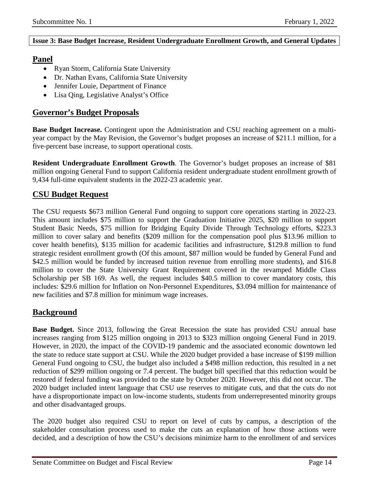#### <span id="page-13-0"></span>**Issue 3: Base Budget Increase, Resident Undergraduate Enrollment Growth, and General Updates**

## **Panel**

- Ryan Storm, California State University
- Dr. Nathan Evans, California State University
- Jennifer Louie, Department of Finance
- Lisa Qing, Legislative Analyst's Office

## **Governor's Budget Proposals**

**Base Budget Increase.** Contingent upon the Administration and CSU reaching agreement on a multiyear compact by the May Revision, the Governor's budget proposes an increase of \$211.1 million, for a five-percent base increase, to support operational costs.

**Resident Undergraduate Enrollment Growth**. The Governor's budget proposes an increase of \$81 million ongoing General Fund to support California resident undergraduate student enrollment growth of 9,434 full-time equivalent students in the 2022-23 academic year.

## **CSU Budget Request**

The CSU requests \$673 million General Fund ongoing to support core operations starting in 2022-23. This amount includes \$75 million to support the Graduation Initiative 2025, \$20 million to support Student Basic Needs, \$75 million for Bridging Equity Divide Through Technology efforts, \$223.3 million to cover salary and benefits (\$209 million for the compensation pool plus \$13.96 million to cover health benefits), \$135 million for academic facilities and infrastructure, \$129.8 million to fund strategic resident enrollment growth (Of this amount, \$87 million would be funded by General Fund and \$42.5 million would be funded by increased tuition revenue from enrolling more students), and \$16.8 million to cover the State University Grant Requirement covered in the revamped Middle Class Scholarship per SB 169. As well, the request includes \$40.5 million to cover mandatory costs, this includes: \$29.6 million for Inflation on Non-Personnel Expenditures, \$3.094 million for maintenance of new facilities and \$7.8 million for minimum wage increases.

## **Background**

**Base Budget.** Since 2013, following the Great Recession the state has provided CSU annual base increases ranging from \$125 million ongoing in 2013 to \$323 million ongoing General Fund in 2019. However, in 2020, the impact of the COVID-19 pandemic and the associated economic downtown led the state to reduce state support at CSU. While the 2020 budget provided a base increase of \$199 million General Fund ongoing to CSU, the budget also included a \$498 million reduction, this resulted in a net reduction of \$299 million ongoing or 7.4 percent. The budget bill specified that this reduction would be restored if federal funding was provided to the state by October 2020. However, this did not occur. The 2020 budget included intent language that CSU use reserves to mitigate cuts, and that the cuts do not have a disproportionate impact on low-income students, students from underrepresented minority groups and other disadvantaged groups.

The 2020 budget also required CSU to report on level of cuts by campus, a description of the stakeholder consultation process used to make the cuts an explanation of how those actions were decided, and a description of how the CSU's decisions minimize harm to the enrollment of and services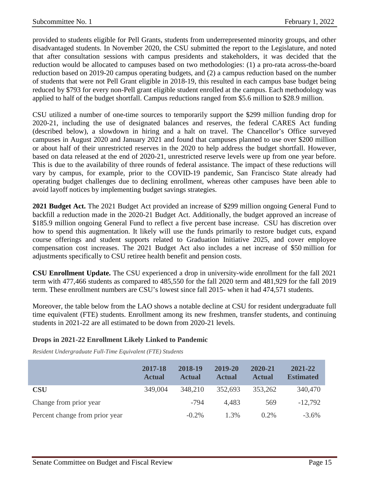provided to students eligible for Pell Grants, students from underrepresented minority groups, and other disadvantaged students. In November 2020, the CSU submitted the report to the Legislature, and noted that after consultation sessions with campus presidents and stakeholders, it was decided that the reduction would be allocated to campuses based on two methodologies: (1) a pro-rata across-the-board reduction based on 2019-20 campus operating budgets, and (2) a campus reduction based on the number of students that were not Pell Grant eligible in 2018-19, this resulted in each campus base budget being reduced by \$793 for every non-Pell grant eligible student enrolled at the campus. Each methodology was applied to half of the budget shortfall. Campus reductions ranged from \$5.6 million to \$28.9 million.

CSU utilized a number of one-time sources to temporarily support the \$299 million funding drop for 2020-21, including the use of designated balances and reserves, the federal CARES Act funding (described below), a slowdown in hiring and a halt on travel. The Chancellor's Office surveyed campuses in August 2020 and January 2021 and found that campuses planned to use over \$200 million or about half of their unrestricted reserves in the 2020 to help address the budget shortfall. However, based on data released at the end of 2020-21, unrestricted reserve levels were up from one year before. This is due to the availability of three rounds of federal assistance. The impact of these reductions will vary by campus, for example, prior to the COVID-19 pandemic, San Francisco State already had operating budget challenges due to declining enrollment, whereas other campuses have been able to avoid layoff notices by implementing budget savings strategies.

**2021 Budget Act.** The 2021 Budget Act provided an increase of \$299 million ongoing General Fund to backfill a reduction made in the 2020-21 Budget Act. Additionally, the budget approved an increase of \$185.9 million ongoing General Fund to reflect a five percent base increase. CSU has discretion over how to spend this augmentation. It likely will use the funds primarily to restore budget cuts, expand course offerings and student supports related to Graduation Initiative 2025, and cover employee compensation cost increases. The 2021 Budget Act also includes a net increase of \$50 million for adjustments specifically to CSU retiree health benefit and pension costs.

**CSU Enrollment Update.** The CSU experienced a drop in university-wide enrollment for the fall 2021 term with 477,466 students as compared to 485,550 for the fall 2020 term and 481,929 for the fall 2019 term. These enrollment numbers are CSU's lowest since fall 2015- when it had 474,571 students.

Moreover, the table below from the LAO shows a notable decline at CSU for resident undergraduate full time equivalent (FTE) students. Enrollment among its new freshmen, transfer students, and continuing students in 2021-22 are all estimated to be down from 2020-21 levels.

#### **Drops in 2021-22 Enrollment Likely Linked to Pandemic**

*Resident Undergraduate Full-Time Equivalent (FTE) Students*

|                                | 2017-18<br><b>Actual</b> | 2018-19<br><b>Actual</b> | 2019-20<br><b>Actual</b> | 2020-21<br><b>Actual</b> | 2021-22<br><b>Estimated</b> |
|--------------------------------|--------------------------|--------------------------|--------------------------|--------------------------|-----------------------------|
| <b>CSU</b>                     | 349,004                  | 348,210                  | 352,693                  | 353,262                  | 340,470                     |
| Change from prior year         |                          | $-794$                   | 4,483                    | 569                      | $-12,792$                   |
| Percent change from prior year |                          | $-0.2\%$                 | 1.3%                     | $0.2\%$                  | $-3.6\%$                    |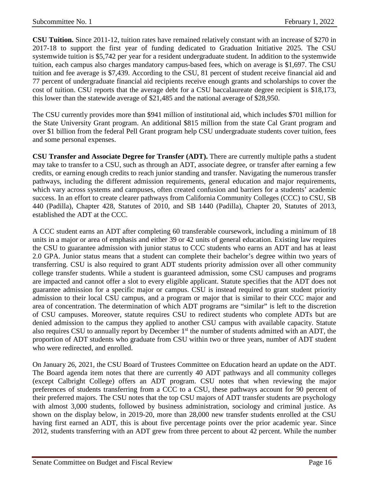**CSU Tuition.** Since 2011-12, tuition rates have remained relatively constant with an increase of \$270 in 2017-18 to support the first year of funding dedicated to Graduation Initiative 2025. The CSU systemwide tuition is \$5,742 per year for a resident undergraduate student. In addition to the systemwide tuition, each campus also charges mandatory campus-based fees, which on average is \$1,697. The CSU tuition and fee average is \$7,439. According to the CSU, 81 percent of student receive financial aid and 77 percent of undergraduate financial aid recipients receive enough grants and scholarships to cover the cost of tuition. CSU reports that the average debt for a CSU baccalaureate degree recipient is \$18,173, this lower than the statewide average of \$21,485 and the national average of \$28,950.

The CSU currently provides more than \$941 million of institutional aid, which includes \$701 million for the State University Grant program. An additional \$815 million from the state Cal Grant program and over \$1 billion from the federal Pell Grant program help CSU undergraduate students cover tuition, fees and some personal expenses.

**CSU Transfer and Associate Degree for Transfer (ADT).** There are currently multiple paths a student may take to transfer to a CSU, such as through an ADT, associate degree, or transfer after earning a few credits, or earning enough credits to reach junior standing and transfer. Navigating the numerous transfer pathways, including the different admission requirements, general education and major requirements, which vary across systems and campuses, often created confusion and barriers for a students' academic success. In an effort to create clearer pathways from California Community Colleges (CCC) to CSU, SB 440 (Padilla), Chapter 428, Statutes of 2010, and SB 1440 (Padilla), Chapter 20, Statutes of 2013, established the ADT at the CCC.

A CCC student earns an ADT after completing 60 transferable coursework, including a minimum of 18 units in a major or area of emphasis and either 39 or 42 units of general education. Existing law requires the CSU to guarantee admission with junior status to CCC students who earns an ADT and has at least 2.0 GPA. Junior status means that a student can complete their bachelor's degree within two years of transferring. CSU is also required to grant ADT students priority admission over all other community college transfer students. While a student is guaranteed admission, some CSU campuses and programs are impacted and cannot offer a slot to every eligible applicant. Statute specifies that the ADT does not guarantee admission for a specific major or campus. CSU is instead required to grant student priority admission to their local CSU campus, and a program or major that is similar to their CCC major and area of concentration. The determination of which ADT programs are "similar" is left to the discretion of CSU campuses. Moreover, statute requires CSU to redirect students who complete ADTs but are denied admission to the campus they applied to another CSU campus with available capacity. Statute also requires CSU to annually report by December 1<sup>st</sup> the number of students admitted with an ADT, the proportion of ADT students who graduate from CSU within two or three years, number of ADT student who were redirected, and enrolled.

On January 26, 2021, the CSU Board of Trustees Committee on Education heard an update on the ADT. The Board agenda item notes that there are currently 40 ADT pathways and all community colleges (except Calbright College) offers an ADT program. CSU notes that when reviewing the major preferences of students transferring from a CCC to a CSU, these pathways account for 90 percent of their preferred majors. The CSU notes that the top CSU majors of ADT transfer students are psychology with almost 3,000 students, followed by business administration, sociology and criminal justice. As shown on the display below, in 2019-20, more than 28,000 new transfer students enrolled at the CSU having first earned an ADT, this is about five percentage points over the prior academic year. Since 2012, students transferring with an ADT grew from three percent to about 42 percent. While the number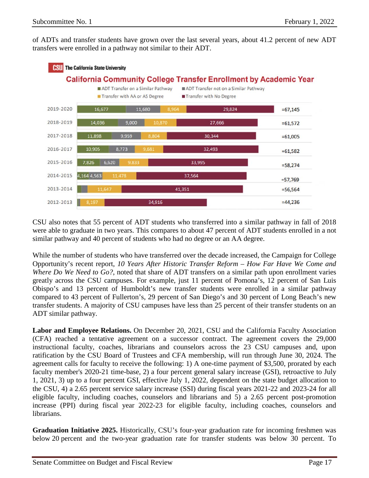of ADTs and transfer students have grown over the last several years, about 41.2 percent of new ADT transfers were enrolled in a pathway not similar to their ADT.



CSU also notes that 55 percent of ADT students who transferred into a similar pathway in fall of 2018 were able to graduate in two years. This compares to about 47 percent of ADT students enrolled in a not similar pathway and 40 percent of students who had no degree or an AA degree.

While the number of students who have transferred over the decade increased, the Campaign for College Opportunity's recent report, *10 Years After Historic Transfer Reform – How Far Have We Come and Where Do We Need to Go?*, noted that share of ADT transfers on a similar path upon enrollment varies greatly across the CSU campuses. For example, just 11 percent of Pomona's, 12 percent of San Luis Obispo's and 13 percent of Humboldt's new transfer students were enrolled in a similar pathway compared to 43 percent of Fullerton's, 29 percent of San Diego's and 30 percent of Long Beach's new transfer students. A majority of CSU campuses have less than 25 percent of their transfer students on an ADT similar pathway.

**Labor and Employee Relations.** On December 20, 2021, CSU and the California Faculty Association (CFA) reached a tentative agreement on a successor contract. The agreement covers the 29,000 instructional faculty, coaches, librarians and counselors across the 23 CSU campuses and, upon ratification by the CSU Board of Trustees and CFA membership, will run through June 30, 2024. The agreement calls for faculty to receive the following: 1) A one-time payment of \$3,500, prorated by each faculty member's 2020-21 time-base, 2) a four percent general salary increase (GSI), retroactive to July 1, 2021, 3) up to a four percent GSI, effective July 1, 2022, dependent on the state budget allocation to the CSU, 4) a 2.65 percent service salary increase (SSI) during fiscal years 2021-22 and 2023-24 for all eligible faculty, including coaches, counselors and librarians and 5) a 2.65 percent post-promotion increase (PPI) during fiscal year 2022-23 for eligible faculty, including coaches, counselors and librarians.

**Graduation Initiative 2025.** Historically, CSU's four-year graduation rate for incoming freshmen was below 20 percent and the two-year graduation rate for transfer students was below 30 percent. To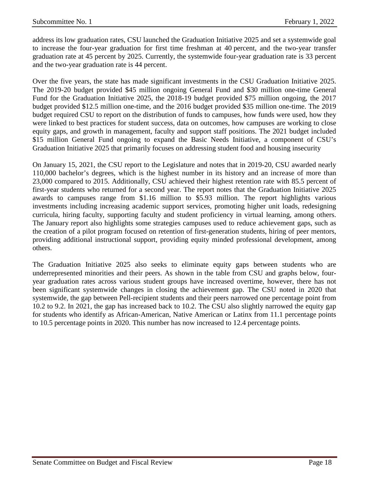address its low graduation rates, CSU launched the Graduation Initiative 2025 and set a systemwide goal to increase the four-year graduation for first time freshman at 40 percent, and the two-year transfer graduation rate at 45 percent by 2025. Currently, the systemwide four-year graduation rate is 33 percent and the two-year graduation rate is 44 percent.

Over the five years, the state has made significant investments in the CSU Graduation Initiative 2025. The 2019-20 budget provided \$45 million ongoing General Fund and \$30 million one-time General Fund for the Graduation Initiative 2025, the 2018-19 budget provided \$75 million ongoing, the 2017 budget provided \$12.5 million one-time, and the 2016 budget provided \$35 million one-time. The 2019 budget required CSU to report on the distribution of funds to campuses, how funds were used, how they were linked to best practices for student success, data on outcomes, how campuses are working to close equity gaps, and growth in management, faculty and support staff positions. The 2021 budget included \$15 million General Fund ongoing to expand the Basic Needs Initiative, a component of CSU's Graduation Initiative 2025 that primarily focuses on addressing student food and housing insecurity

On January 15, 2021, the CSU report to the Legislature and notes that in 2019-20, CSU awarded nearly 110,000 bachelor's degrees, which is the highest number in its history and an increase of more than 23,000 compared to 2015. Additionally, CSU achieved their highest retention rate with 85.5 percent of first-year students who returned for a second year. The report notes that the Graduation Initiative 2025 awards to campuses range from \$1.16 million to \$5.93 million. The report highlights various investments including increasing academic support services, promoting higher unit loads, redesigning curricula, hiring faculty, supporting faculty and student proficiency in virtual learning, among others. The January report also highlights some strategies campuses used to reduce achievement gaps, such as the creation of a pilot program focused on retention of first-generation students, hiring of peer mentors, providing additional instructional support, providing equity minded professional development, among others.

The Graduation Initiative 2025 also seeks to eliminate equity gaps between students who are underrepresented minorities and their peers. As shown in the table from CSU and graphs below, fouryear graduation rates across various student groups have increased overtime, however, there has not been significant systemwide changes in closing the achievement gap. The CSU noted in 2020 that systemwide, the gap between Pell-recipient students and their peers narrowed one percentage point from 10.2 to 9.2. In 2021, the gap has increased back to 10.2. The CSU also slightly narrowed the equity gap for students who identify as African-American, Native American or Latinx from 11.1 percentage points to 10.5 percentage points in 2020. This number has now increased to 12.4 percentage points.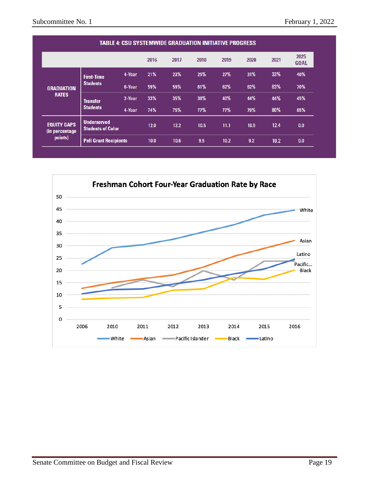| <b>TABLE 4: CSU SYSTEMWIDE GRADUATION INITIATIVE PROGRESS</b> |                                                |        |      |      |      |      |      |      |                     |
|---------------------------------------------------------------|------------------------------------------------|--------|------|------|------|------|------|------|---------------------|
|                                                               |                                                |        | 2016 | 2017 | 2018 | 2019 | 2020 | 2021 | 2025<br><b>GOAL</b> |
|                                                               | <b>First-Time</b>                              | 4-Year | 21%  | 23%  | 25%  | 27%  | 31%  | 33%  | 40%                 |
| <b>GRADUATION</b>                                             | <b>Students</b>                                | 6-Year | 59%  | 59%  | 61%  | 62%  | 62%  | 63%  | 70%                 |
| <b>RATES</b>                                                  | <b>Transfer</b><br><b>Students</b>             | 2-Year | 33%  | 35%  | 38%  | 40%  | 44%  | 44%  | 45%                 |
|                                                               |                                                | 4-Year | 74%  | 75%  | 77%  | 77%  | 79%  | 80%  | 85%                 |
| <b>EQUITY GAPS</b><br>(in percentage)                         | <b>Underserved</b><br><b>Students of Color</b> |        | 12.0 | 12.2 | 10.5 | 11.1 | 10.5 | 12.4 | 0.0                 |
| points)                                                       | <b>Pell Grant Recipients</b>                   |        | 10.0 | 10.6 | 9.5  | 10.2 | 9.2  | 10.2 | 0.0                 |

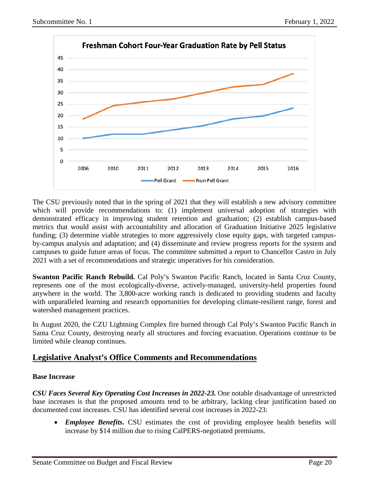

The CSU previously noted that in the spring of 2021 that they will establish a new advisory committee which will provide recommendations to: (1) implement universal adoption of strategies with demonstrated efficacy in improving student retention and graduation; (2) establish campus-based metrics that would assist with accountability and allocation of Graduation Initiative 2025 legislative funding; (3) determine viable strategies to more aggressively close equity gaps, with targeted campusby-campus analysis and adaptation; and (4) disseminate and review progress reports for the system and campuses to guide future areas of focus. The committee submitted a report to Chancellor Castro in July 2021 with a set of recommendations and strategic imperatives for his consideration.

**Swanton Pacific Ranch Rebuild.** Cal Poly's Swanton Pacific Ranch, located in Santa Cruz County, represents one of the most ecologically-diverse, actively-managed, university-held properties found anywhere in the world. The 3,800-acre working ranch is dedicated to providing students and faculty with unparalleled learning and research opportunities for developing climate-resilient range, forest and watershed management practices.

In August 2020, the CZU Lightning Complex fire burned through Cal Poly's Swanton Pacific Ranch in Santa Cruz County, destroying nearly all structures and forcing evacuation. Operations continue to be limited while cleanup continues.

## **Legislative Analyst's Office Comments and Recommendations**

### **Base Increase**

*CSU Faces Several Key Operating Cost Increases in 2022-23.* One notable disadvantage of unrestricted base increases is that the proposed amounts tend to be arbitrary, lacking clear justification based on documented cost increases. CSU has identified several cost increases in 2022-23:

• *Employee Benefits.* CSU estimates the cost of providing employee health benefits will increase by \$14 million due to rising CalPERS-negotiated premiums.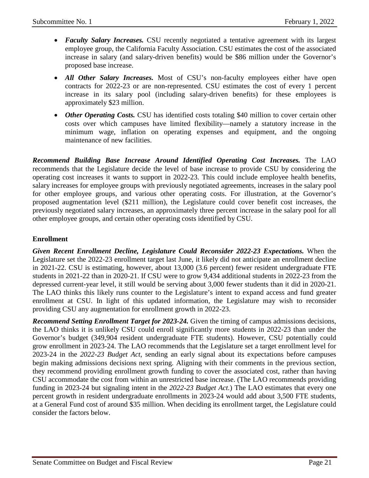- **Faculty Salary Increases.** CSU recently negotiated a tentative agreement with its largest employee group, the California Faculty Association. CSU estimates the cost of the associated increase in salary (and salary-driven benefits) would be \$86 million under the Governor's proposed base increase.
- *All Other Salary Increases.* Most of CSU's non-faculty employees either have open contracts for 2022-23 or are non-represented. CSU estimates the cost of every 1 percent increase in its salary pool (including salary-driven benefits) for these employees is approximately \$23 million.
- *Other Operating Costs.* CSU has identified costs totaling \$40 million to cover certain other costs over which campuses have limited flexibility—namely a statutory increase in the minimum wage, inflation on operating expenses and equipment, and the ongoing maintenance of new facilities.

*Recommend Building Base Increase Around Identified Operating Cost Increases.* The LAO recommends that the Legislature decide the level of base increase to provide CSU by considering the operating cost increases it wants to support in 2022-23. This could include employee health benefits, salary increases for employee groups with previously negotiated agreements, increases in the salary pool for other employee groups, and various other operating costs. For illustration, at the Governor's proposed augmentation level (\$211 million), the Legislature could cover benefit cost increases, the previously negotiated salary increases, an approximately three percent increase in the salary pool for all other employee groups, and certain other operating costs identified by CSU.

### **Enrollment**

*Given Recent Enrollment Decline, Legislature Could Reconsider 2022-23 Expectations.* When the Legislature set the 2022-23 enrollment target last June, it likely did not anticipate an enrollment decline in 2021-22. CSU is estimating, however, about 13,000 (3.6 percent) fewer resident undergraduate FTE students in 2021-22 than in 2020-21. If CSU were to grow 9,434 additional students in 2022-23 from the depressed current-year level, it still would be serving about 3,000 fewer students than it did in 2020-21. The LAO thinks this likely runs counter to the Legislature's intent to expand access and fund greater enrollment at CSU. In light of this updated information, the Legislature may wish to reconsider providing CSU any augmentation for enrollment growth in 2022-23.

*Recommend Setting Enrollment Target for 2023-24.* Given the timing of campus admissions decisions, the LAO thinks it is unlikely CSU could enroll significantly more students in 2022-23 than under the Governor's budget (349,904 resident undergraduate FTE students). However, CSU potentially could grow enrollment in 2023-24. The LAO recommends that the Legislature set a target enrollment level for 2023-24 in the *2022-23 Budget Act*, sending an early signal about its expectations before campuses begin making admissions decisions next spring. Aligning with their comments in the previous section, they recommend providing enrollment growth funding to cover the associated cost, rather than having CSU accommodate the cost from within an unrestricted base increase. (The LAO recommends providing funding in 2023-24 but signaling intent in the *2022-23 Budget Act.*) The LAO estimates that every one percent growth in resident undergraduate enrollments in 2023-24 would add about 3,500 FTE students, at a General Fund cost of around \$35 million. When deciding its enrollment target, the Legislature could consider the factors below.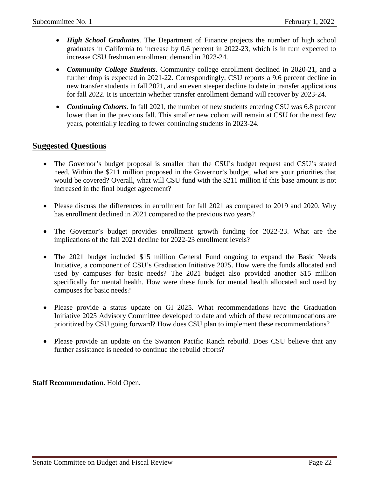- *High School Graduates*. The Department of Finance projects the number of high school graduates in California to increase by 0.6 percent in 2022-23, which is in turn expected to increase CSU freshman enrollment demand in 2023-24.
- *Community College Students*. Community college enrollment declined in 2020-21, and a further drop is expected in 2021-22. Correspondingly, CSU reports a 9.6 percent decline in new transfer students in fall 2021, and an even steeper decline to date in transfer applications for fall 2022. It is uncertain whether transfer enrollment demand will recover by 2023-24.
- *Continuing Cohorts.* In fall 2021, the number of new students entering CSU was 6.8 percent lower than in the previous fall. This smaller new cohort will remain at CSU for the next few years, potentially leading to fewer continuing students in 2023-24.

## **Suggested Questions**

- The Governor's budget proposal is smaller than the CSU's budget request and CSU's stated need. Within the \$211 million proposed in the Governor's budget, what are your priorities that would be covered? Overall, what will CSU fund with the \$211 million if this base amount is not increased in the final budget agreement?
- Please discuss the differences in enrollment for fall 2021 as compared to 2019 and 2020. Why has enrollment declined in 2021 compared to the previous two years?
- The Governor's budget provides enrollment growth funding for 2022-23. What are the implications of the fall 2021 decline for 2022-23 enrollment levels?
- The 2021 budget included \$15 million General Fund ongoing to expand the Basic Needs Initiative, a component of CSU's Graduation Initiative 2025. How were the funds allocated and used by campuses for basic needs? The 2021 budget also provided another \$15 million specifically for mental health. How were these funds for mental health allocated and used by campuses for basic needs?
- Please provide a status update on GI 2025. What recommendations have the Graduation Initiative 2025 Advisory Committee developed to date and which of these recommendations are prioritized by CSU going forward? How does CSU plan to implement these recommendations?
- Please provide an update on the Swanton Pacific Ranch rebuild. Does CSU believe that any further assistance is needed to continue the rebuild efforts?

**Staff Recommendation.** Hold Open.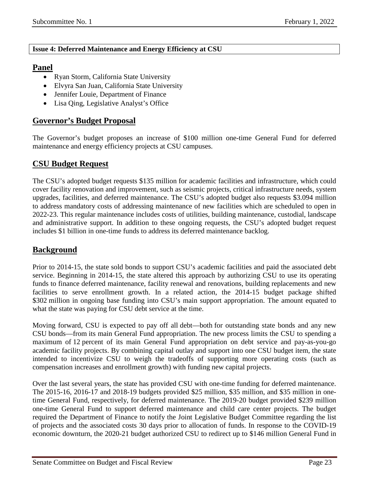#### <span id="page-22-0"></span>**Issue 4: Deferred Maintenance and Energy Efficiency at CSU**

## **Panel**

- Ryan Storm, California State University
- Elvyra San Juan, California State University
- Jennifer Louie, Department of Finance
- Lisa Qing, Legislative Analyst's Office

## **Governor's Budget Proposal**

The Governor's budget proposes an increase of \$100 million one-time General Fund for deferred maintenance and energy efficiency projects at CSU campuses.

## **CSU Budget Request**

The CSU's adopted budget requests \$135 million for academic facilities and infrastructure, which could cover facility renovation and improvement, such as seismic projects, critical infrastructure needs, system upgrades, facilities, and deferred maintenance. The CSU's adopted budget also requests \$3.094 million to address mandatory costs of addressing maintenance of new facilities which are scheduled to open in 2022-23. This regular maintenance includes costs of utilities, building maintenance, custodial, landscape and administrative support. In addition to these ongoing requests, the CSU's adopted budget request includes \$1 billion in one-time funds to address its deferred maintenance backlog.

## **Background**

Prior to 2014-15, the state sold bonds to support CSU's academic facilities and paid the associated debt service. Beginning in 2014-15, the state altered this approach by authorizing CSU to use its operating funds to finance deferred maintenance, facility renewal and renovations, building replacements and new facilities to serve enrollment growth. In a related action, the 2014-15 budget package shifted \$302 million in ongoing base funding into CSU's main support appropriation. The amount equated to what the state was paying for CSU debt service at the time.

Moving forward, CSU is expected to pay off all debt—both for outstanding state bonds and any new CSU bonds—from its main General Fund appropriation. The new process limits the CSU to spending a maximum of 12 percent of its main General Fund appropriation on debt service and pay-as-you-go academic facility projects. By combining capital outlay and support into one CSU budget item, the state intended to incentivize CSU to weigh the tradeoffs of supporting more operating costs (such as compensation increases and enrollment growth) with funding new capital projects.

Over the last several years, the state has provided CSU with one-time funding for deferred maintenance. The 2015-16, 2016-17 and 2018-19 budgets provided \$25 million, \$35 million, and \$35 million in onetime General Fund, respectively, for deferred maintenance. The 2019-20 budget provided \$239 million one-time General Fund to support deferred maintenance and child care center projects. The budget required the Department of Finance to notify the Joint Legislative Budget Committee regarding the list of projects and the associated costs 30 days prior to allocation of funds. In response to the COVID-19 economic downturn, the 2020-21 budget authorized CSU to redirect up to \$146 million General Fund in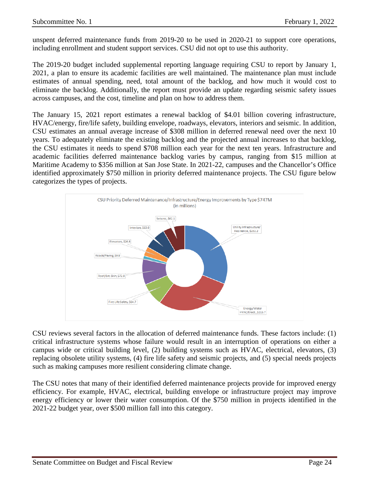unspent deferred maintenance funds from 2019-20 to be used in 2020-21 to support core operations, including enrollment and student support services. CSU did not opt to use this authority.

The 2019-20 budget included supplemental reporting language requiring CSU to report by January 1, 2021, a plan to ensure its academic facilities are well maintained. The maintenance plan must include estimates of annual spending, need, total amount of the backlog, and how much it would cost to eliminate the backlog. Additionally, the report must provide an update regarding seismic safety issues across campuses, and the cost, timeline and plan on how to address them.

The January 15, 2021 report estimates a renewal backlog of \$4.01 billion covering infrastructure, HVAC/energy, fire/life safety, building envelope, roadways, elevators, interiors and seismic. In addition, CSU estimates an annual average increase of \$308 million in deferred renewal need over the next 10 years. To adequately eliminate the existing backlog and the projected annual increases to that backlog, the CSU estimates it needs to spend \$708 million each year for the next ten years. Infrastructure and academic facilities deferred maintenance backlog varies by campus, ranging from \$15 million at Maritime Academy to \$356 million at San Jose State. In 2021-22, campuses and the Chancellor's Office identified approximately \$750 million in priority deferred maintenance projects. The CSU figure below categorizes the types of projects.



CSU reviews several factors in the allocation of deferred maintenance funds. These factors include: (1) critical infrastructure systems whose failure would result in an interruption of operations on either a campus wide or critical building level, (2) building systems such as HVAC, electrical, elevators, (3) replacing obsolete utility systems, (4) fire life safety and seismic projects, and (5) special needs projects such as making campuses more resilient considering climate change.

The CSU notes that many of their identified deferred maintenance projects provide for improved energy efficiency. For example, HVAC, electrical, building envelope or infrastructure project may improve energy efficiency or lower their water consumption. Of the \$750 million in projects identified in the 2021-22 budget year, over \$500 million fall into this category.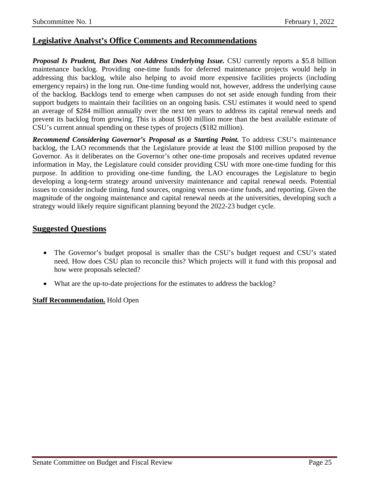## **Legislative Analyst's Office Comments and Recommendations**

*Proposal Is Prudent, But Does Not Address Underlying Issue.* CSU currently reports a \$5.8 billion maintenance backlog. Providing one-time funds for deferred maintenance projects would help in addressing this backlog, while also helping to avoid more expensive facilities projects (including emergency repairs) in the long run. One-time funding would not, however, address the underlying cause of the backlog. Backlogs tend to emerge when campuses do not set aside enough funding from their support budgets to maintain their facilities on an ongoing basis. CSU estimates it would need to spend an average of \$284 million annually over the next ten years to address its capital renewal needs and prevent its backlog from growing. This is about \$100 million more than the best available estimate of CSU's current annual spending on these types of projects (\$182 million).

*Recommend Considering Governor's Proposal as a Starting Point.* To address CSU's maintenance backlog, the LAO recommends that the Legislature provide at least the \$100 million proposed by the Governor. As it deliberates on the Governor's other one-time proposals and receives updated revenue information in May, the Legislature could consider providing CSU with more one-time funding for this purpose. In addition to providing one-time funding, the LAO encourages the Legislature to begin developing a long-term strategy around university maintenance and capital renewal needs. Potential issues to consider include timing, fund sources, ongoing versus one-time funds, and reporting. Given the magnitude of the ongoing maintenance and capital renewal needs at the universities, developing such a strategy would likely require significant planning beyond the 2022-23 budget cycle.

## **Suggested Questions**

- The Governor's budget proposal is smaller than the CSU's budget request and CSU's stated need. How does CSU plan to reconcile this? Which projects will it fund with this proposal and how were proposals selected?
- What are the up-to-date projections for the estimates to address the backlog?

#### **Staff Recommendation.** Hold Open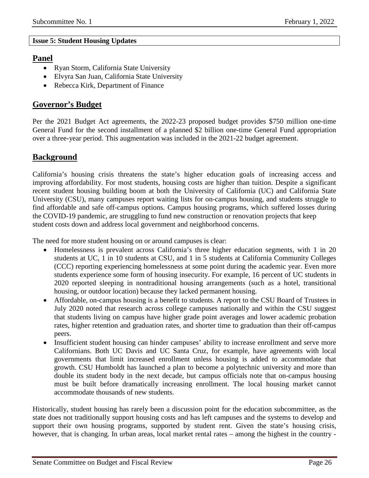#### **Issue 5: Student Housing Updates**

## **Panel**

- Ryan Storm, California State University
- Elvyra San Juan, California State University
- Rebecca Kirk, Department of Finance

## **Governor's Budget**

Per the 2021 Budget Act agreements, the 2022-23 proposed budget provides \$750 million one-time General Fund for the second installment of a planned \$2 billion one-time General Fund appropriation over a three-year period. This augmentation was included in the 2021-22 budget agreement.

# **Background**

California's housing crisis threatens the state's higher education goals of increasing access and improving affordability. For most students, housing costs are higher than tuition. Despite a significant recent student housing building boom at both the University of California (UC) and California State University (CSU), many campuses report waiting lists for on-campus housing, and students struggle to find affordable and safe off-campus options. Campus housing programs, which suffered losses during the COVID-19 pandemic, are struggling to fund new construction or renovation projects that keep student costs down and address local government and neighborhood concerns.

The need for more student housing on or around campuses is clear:

- Homelessness is prevalent across California's three higher education segments, with 1 in 20 students at UC, 1 in 10 students at CSU, and 1 in 5 students at California Community Colleges (CCC) reporting experiencing homelessness at some point during the academic year. Even more students experience some form of housing insecurity. For example, 16 percent of UC students in 2020 reported sleeping in nontraditional housing arrangements (such as a hotel, transitional housing, or outdoor location) because they lacked permanent housing.
- Affordable, on-campus housing is a benefit to students. A report to the CSU Board of Trustees in July 2020 noted that research across college campuses nationally and within the CSU suggest that students living on campus have higher grade point averages and lower academic probation rates, higher retention and graduation rates, and shorter time to graduation than their off-campus peers.
- Insufficient student housing can hinder campuses' ability to increase enrollment and serve more Californians. Both UC Davis and UC Santa Cruz, for example, have agreements with local governments that limit increased enrollment unless housing is added to accommodate that growth. CSU Humboldt has launched a plan to become a polytechnic university and more than double its student body in the next decade, but campus officials note that on-campus housing must be built before dramatically increasing enrollment. The local housing market cannot accommodate thousands of new students.

Historically, student housing has rarely been a discussion point for the education subcommittee, as the state does not traditionally support housing costs and has left campuses and the systems to develop and support their own housing programs, supported by student rent. Given the state's housing crisis, however, that is changing. In urban areas, local market rental rates – among the highest in the country -